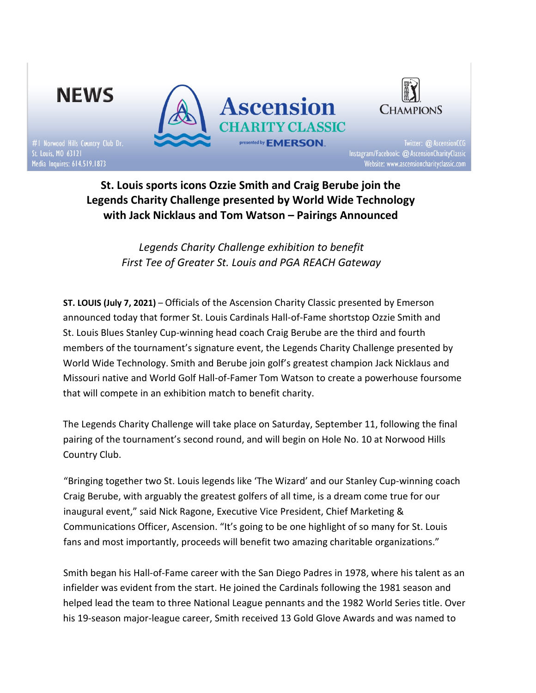

St. Louis sports icons Ozzie Smith and Craig Berube join the Legends Charity Challenge presented by World Wide Technology with Jack Nicklaus and Tom Watson – Pairings Announced

> Legends Charity Challenge exhibition to benefit First Tee of Greater St. Louis and PGA REACH Gateway

ST. LOUIS (July 7, 2021) – Officials of the Ascension Charity Classic presented by Emerson announced today that former St. Louis Cardinals Hall-of-Fame shortstop Ozzie Smith and St. Louis Blues Stanley Cup-winning head coach Craig Berube are the third and fourth members of the tournament's signature event, the Legends Charity Challenge presented by World Wide Technology. Smith and Berube join golf's greatest champion Jack Nicklaus and Missouri native and World Golf Hall-of-Famer Tom Watson to create a powerhouse foursome that will compete in an exhibition match to benefit charity.

The Legends Charity Challenge will take place on Saturday, September 11, following the final pairing of the tournament's second round, and will begin on Hole No. 10 at Norwood Hills Country Club.

"Bringing together two St. Louis legends like 'The Wizard' and our Stanley Cup-winning coach Craig Berube, with arguably the greatest golfers of all time, is a dream come true for our inaugural event," said Nick Ragone, Executive Vice President, Chief Marketing & Communications Officer, Ascension. "It's going to be one highlight of so many for St. Louis fans and most importantly, proceeds will benefit two amazing charitable organizations."

Smith began his Hall-of-Fame career with the San Diego Padres in 1978, where his talent as an infielder was evident from the start. He joined the Cardinals following the 1981 season and helped lead the team to three National League pennants and the 1982 World Series title. Over his 19-season major-league career, Smith received 13 Gold Glove Awards and was named to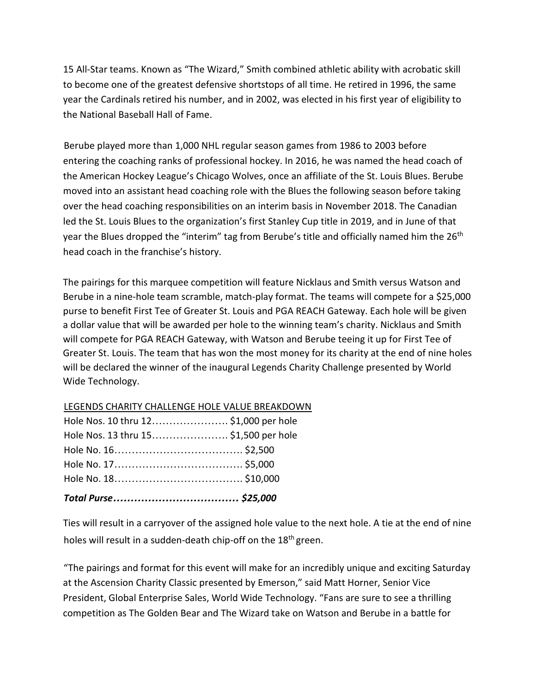15 All-Star teams. Known as "The Wizard," Smith combined athletic ability with acrobatic skill to become one of the greatest defensive shortstops of all time. He retired in 1996, the same year the Cardinals retired his number, and in 2002, was elected in his first year of eligibility to the National Baseball Hall of Fame.

Berube played more than 1,000 NHL regular season games from 1986 to 2003 before entering the coaching ranks of professional hockey. In 2016, he was named the head coach of the American Hockey League's Chicago Wolves, once an affiliate of the St. Louis Blues. Berube moved into an assistant head coaching role with the Blues the following season before taking over the head coaching responsibilities on an interim basis in November 2018. The Canadian led the St. Louis Blues to the organization's first Stanley Cup title in 2019, and in June of that year the Blues dropped the "interim" tag from Berube's title and officially named him the 26<sup>th</sup> head coach in the franchise's history.

The pairings for this marquee competition will feature Nicklaus and Smith versus Watson and Berube in a nine-hole team scramble, match-play format. The teams will compete for a \$25,000 purse to benefit First Tee of Greater St. Louis and PGA REACH Gateway. Each hole will be given a dollar value that will be awarded per hole to the winning team's charity. Nicklaus and Smith will compete for PGA REACH Gateway, with Watson and Berube teeing it up for First Tee of Greater St. Louis. The team that has won the most money for its charity at the end of nine holes will be declared the winner of the inaugural Legends Charity Challenge presented by World Wide Technology.

|--|

| Hole Nos. 13 thru 15 \$1,500 per hole |  |
|---------------------------------------|--|
| Hole Nos. 10 thru 12\$1,000 per hole  |  |

Ties will result in a carryover of the assigned hole value to the next hole. A tie at the end of nine holes will result in a sudden-death chip-off on the 18<sup>th</sup> green.

"The pairings and format for this event will make for an incredibly unique and exciting Saturday at the Ascension Charity Classic presented by Emerson," said Matt Horner, Senior Vice President, Global Enterprise Sales, World Wide Technology. "Fans are sure to see a thrilling competition as The Golden Bear and The Wizard take on Watson and Berube in a battle for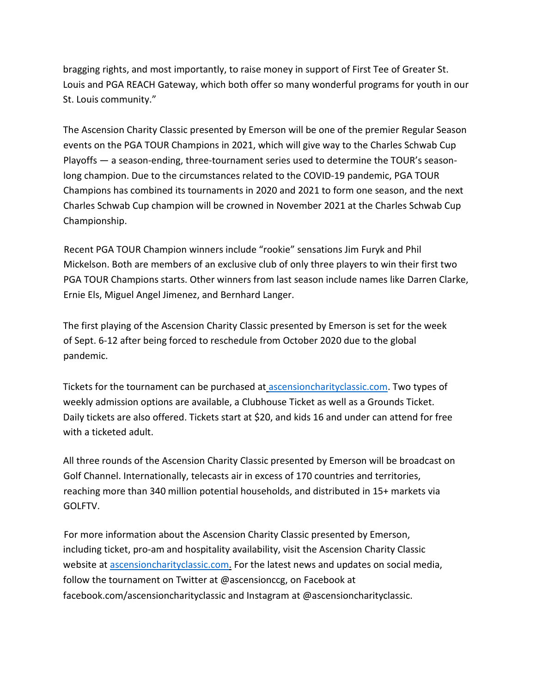bragging rights, and most importantly, to raise money in support of First Tee of Greater St. Louis and PGA REACH Gateway, which both offer so many wonderful programs for youth in our St. Louis community."

The Ascension Charity Classic presented by Emerson will be one of the premier Regular Season events on the PGA TOUR Champions in 2021, which will give way to the Charles Schwab Cup Playoffs — a season-ending, three-tournament series used to determine the TOUR's seasonlong champion. Due to the circumstances related to the COVID-19 pandemic, PGA TOUR Champions has combined its tournaments in 2020 and 2021 to form one season, and the next Charles Schwab Cup champion will be crowned in November 2021 at the Charles Schwab Cup Championship.

Recent PGA TOUR Champion winners include "rookie" sensations Jim Furyk and Phil Mickelson. Both are members of an exclusive club of only three players to win their first two PGA TOUR Champions starts. Other winners from last season include names like Darren Clarke, Ernie Els, Miguel Angel Jimenez, and Bernhard Langer.

The first playing of the Ascension Charity Classic presented by Emerson is set for the week of Sept. 6-12 after being forced to reschedule from October 2020 due to the global pandemic.

Tickets for the tournament can be purchased at ascensioncharityclassic.com. Two types of weekly admission options are available, a Clubhouse Ticket as well as a Grounds Ticket. Daily tickets are also offered. Tickets start at \$20, and kids 16 and under can attend for free with a ticketed adult.

All three rounds of the Ascension Charity Classic presented by Emerson will be broadcast on Golf Channel. Internationally, telecasts air in excess of 170 countries and territories, reaching more than 340 million potential households, and distributed in 15+ markets via GOLFTV.

For more information about the Ascension Charity Classic presented by Emerson, including ticket, pro-am and hospitality availability, visit the Ascension Charity Classic website at ascensioncharityclassic.com. For the latest news and updates on social media, follow the tournament on Twitter at @ascensionccg, on Facebook at facebook.com/ascensioncharityclassic and Instagram at @ascensioncharityclassic.